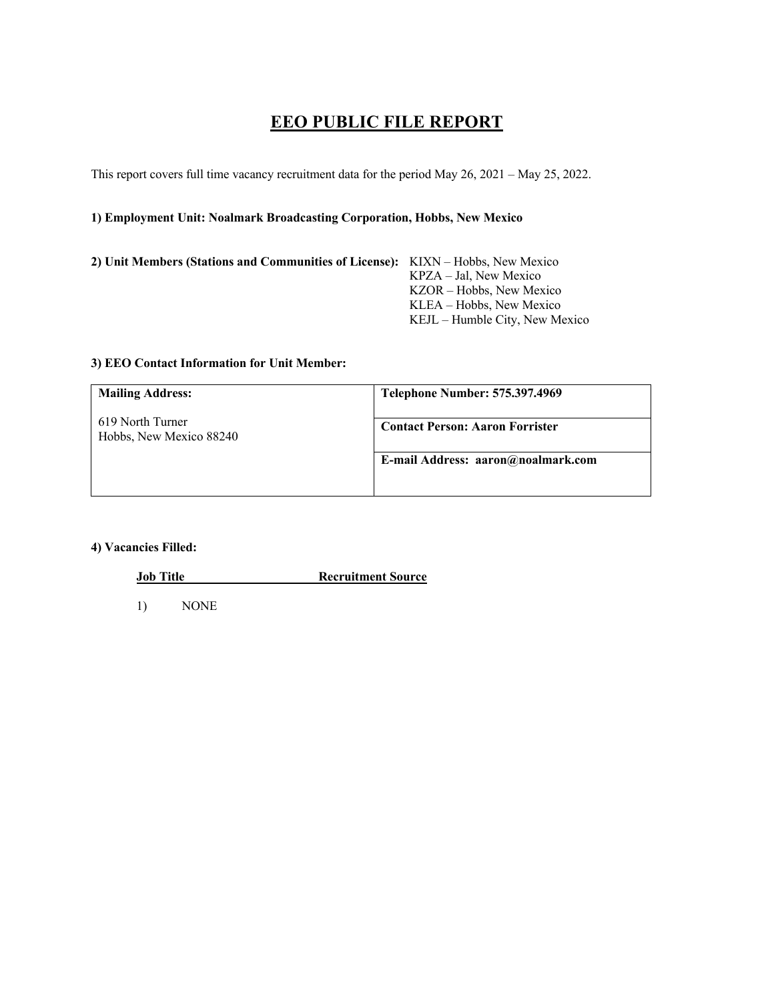# **EEO PUBLIC FILE REPORT**

This report covers full time vacancy recruitment data for the period May 26, 2021 – May 25, 2022.

## **1) Employment Unit: Noalmark Broadcasting Corporation, Hobbs, New Mexico**

| 2) Unit Members (Stations and Communities of License): KIXN – Hobbs, New Mexico |                                |
|---------------------------------------------------------------------------------|--------------------------------|
|                                                                                 | KPZA – Jal. New Mexico         |
|                                                                                 | KZOR – Hobbs, New Mexico       |
|                                                                                 | KLEA – Hobbs, New Mexico       |
|                                                                                 | KEJL – Humble City, New Mexico |

#### **3) EEO Contact Information for Unit Member:**

| <b>Mailing Address:</b>                     | <b>Telephone Number: 575.397.4969</b>  |
|---------------------------------------------|----------------------------------------|
| 619 North Turner<br>Hobbs, New Mexico 88240 | <b>Contact Person: Aaron Forrister</b> |
|                                             | E-mail Address: aaron@noalmark.com     |

### **4) Vacancies Filled:**

**Job Title Recruitment Source** 

1) NONE